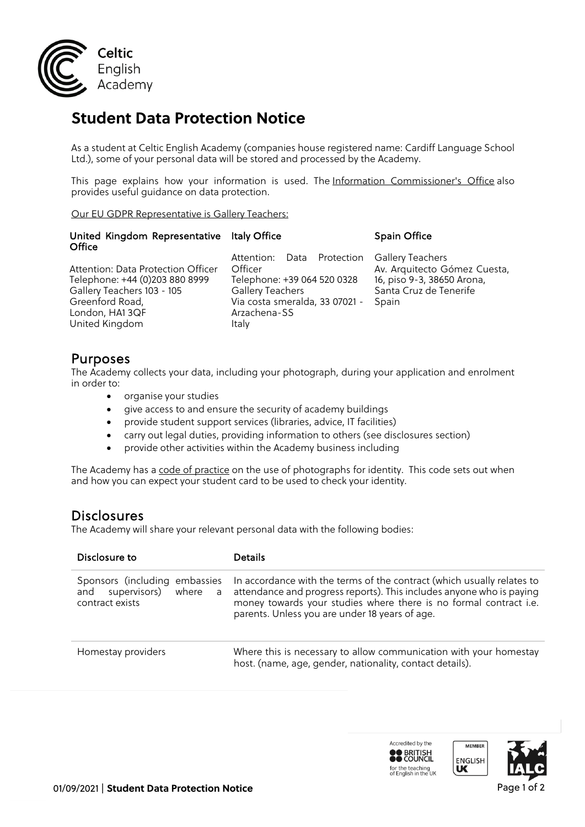

# **Student Data Protection Notice**

As a student at Celtic English Academy (companies house registered name: Cardiff Language School Ltd.), some of your personal data will be stored and processed by the Academy.

This page explains how your information is used. The Information Commissioner's Office also provides useful guidance on data protection.

Our EU GDPR Representative is Gallery Teachers:

| United Kingdom Representative Italy Office<br>Office                                                                                                      |                                                                                                                                                            | <b>Spain Office</b>                                                                                               |
|-----------------------------------------------------------------------------------------------------------------------------------------------------------|------------------------------------------------------------------------------------------------------------------------------------------------------------|-------------------------------------------------------------------------------------------------------------------|
| Attention: Data Protection Officer<br>Telephone: +44 (0)203 880 8999<br>Gallery Teachers 103 - 105<br>Greenford Road,<br>London, HA13QF<br>United Kingdom | Attention: Data Protection<br>Officer<br>Telephone: +39 064 520 0328<br><b>Gallery Teachers</b><br>Via costa smeralda, 33 07021 -<br>Arzachena-SS<br>Italy | Gallery Teachers<br>Av. Arquitecto Gómez Cuesta,<br>16, piso 9-3, 38650 Arona,<br>Santa Cruz de Tenerife<br>Spain |

**Purposes**<br>The Academy collects your data, including your photograph, during your application and enrolment in order to:

- organise your studies
- give access to and ensure the security of academy buildings
- provide student support services (libraries, advice, IT facilities)
- carry out legal duties, providing information to others (see disclosures section)
- provide other activities within the Academy business including

The Academy has a code of practice on the use of photographs for identity. This code sets out when and how you can expect your student card to be used to check your identity.

**Disclosures**<br>The Academy will share your relevant personal data with the following bodies:

| Disclosure to                                                                   | <b>Details</b>                                                                                                                                                                                                                                                        |
|---------------------------------------------------------------------------------|-----------------------------------------------------------------------------------------------------------------------------------------------------------------------------------------------------------------------------------------------------------------------|
| Sponsors (including embassies<br>and supervisors) where<br>a<br>contract exists | In accordance with the terms of the contract (which usually relates to<br>attendance and progress reports). This includes anyone who is paying<br>money towards your studies where there is no formal contract i.e.<br>parents. Unless you are under 18 years of age. |
| Homestay providers                                                              | Where this is necessary to allow communication with your homestay<br>host. (name, age, gender, nationality, contact details).                                                                                                                                         |